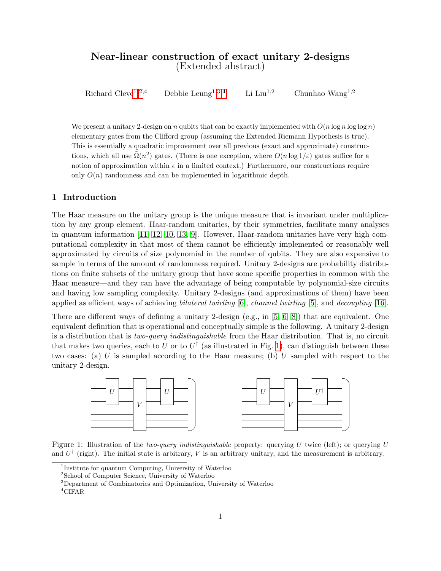# Near-linear construction of exact unitary 2-designs (Extended abstract)

Richard Cleve<sup>[1,](#page-0-0)[2,](#page-0-1)4</sup> Debbie Leung<sup>1[,3,](#page-0-2)[4](#page-0-3)</sup> Li Liu<sup>1,2</sup> Chunhao Wang<sup>1,2</sup>

We present a unitary 2-design on n qubits that can be exactly implemented with  $O(n \log n \log \log n)$ elementary gates from the Clifford group (assuming the Extended Riemann Hypothesis is true). This is essentially a quadratic improvement over all previous (exact and approximate) constructions, which all use  $\tilde{\Omega}(n^2)$  gates. (There is one exception, where  $O(n \log 1/\varepsilon)$  gates suffice for a notion of approximation within  $\epsilon$  in a limited context.) Furthermore, our constructions require only  $O(n)$  randomness and can be implemented in logarithmic depth.

## 1 Introduction

The Haar measure on the unitary group is the unique measure that is invariant under multiplication by any group element. Haar-random unitaries, by their symmetries, facilitate many analyses in quantum information [\[11,](#page-3-0) [12,](#page-3-1) [10,](#page-3-2) [13,](#page-3-3) [9\]](#page-3-4). However, Haar-random unitaries have very high computational complexity in that most of them cannot be efficiently implemented or reasonably well approximated by circuits of size polynomial in the number of qubits. They are also expensive to sample in terms of the amount of randomness required. Unitary 2-designs are probability distributions on finite subsets of the unitary group that have some specific properties in common with the Haar measure—and they can have the advantage of being computable by polynomial-size circuits and having low sampling complexity. Unitary 2-designs (and approximations of them) have been applied as efficient ways of achieving bilateral twirling  $[6]$ , channel twirling  $[5]$ , and decoupling  $[16]$ .

There are different ways of defining a unitary 2-design (e.g., in [\[5,](#page-2-0) [6,](#page-3-5) [8\]](#page-3-7)) that are equivalent. One equivalent definition that is operational and conceptually simple is the following. A unitary 2-design is a distribution that is two-query indistinguishable from the Haar distribution. That is, no circuit that makes two queries, each to U or to  $U^{\dagger}$  (as illustrated in Fig. [1\)](#page-0-4), can distinguish between these two cases: (a) U is sampled according to the Haar measure; (b) U sampled with respect to the unitary 2-design.



<span id="page-0-4"></span>Figure 1: Illustration of the *two-query indistinguishable* property: querying U twice (left); or querying U and  $U^{\dagger}$  (right). The initial state is arbitrary, V is an arbitrary unitary, and the measurement is arbitrary.

<span id="page-0-0"></span><sup>&</sup>lt;sup>1</sup>Institute for quantum Computing, University of Waterloo

<span id="page-0-1"></span><sup>2</sup>School of Computer Science, University of Waterloo

<span id="page-0-2"></span><sup>3</sup>Department of Combinatorics and Optimization, University of Waterloo

<span id="page-0-3"></span><sup>4</sup>CIFAR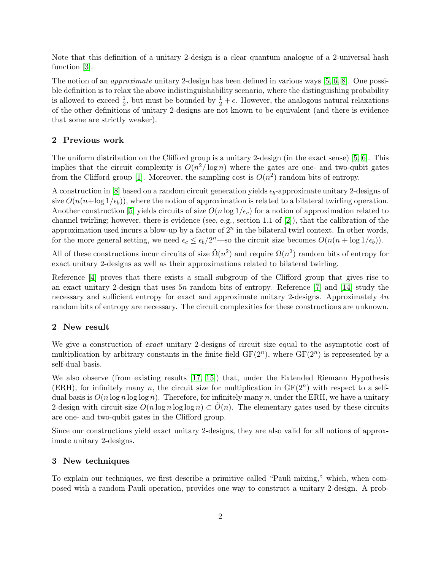Note that this definition of a unitary 2-design is a clear quantum analogue of a 2-universal hash function [\[3\]](#page-2-1).

The notion of an approximate unitary 2-design has been defined in various ways [\[5,](#page-2-0) [6,](#page-3-5) [8\]](#page-3-7). One possible definition is to relax the above indistinguishability scenario, where the distinguishing probability is allowed to exceed  $\frac{1}{2}$ , but must be bounded by  $\frac{1}{2} + \epsilon$ . However, the analogous natural relaxations of the other definitions of unitary 2-designs are not known to be equivalent (and there is evidence that some are strictly weaker).

### 2 Previous work

The uniform distribution on the Clifford group is a unitary 2-design (in the exact sense) [\[5,](#page-2-0) [6\]](#page-3-5). This implies that the circuit complexity is  $O(n^2/\log n)$  where the gates are one- and two-qubit gates from the Clifford group [\[1\]](#page-2-2). Moreover, the sampling cost is  $O(n^2)$  random bits of entropy.

A construction in [\[8\]](#page-3-7) based on a random circuit generation yields  $\epsilon_b$ -approximate unitary 2-designs of size  $O(n(n+\log 1/\epsilon_b))$ , where the notion of approximation is related to a bilateral twirling operation. Another construction [\[5\]](#page-2-0) yields circuits of size  $O(n \log 1/\epsilon_c)$  for a notion of approximation related to channel twirling; however, there is evidence (see, e.g., section 1.1 of  $[2]$ ), that the calibration of the approximation used incurs a blow-up by a factor of  $2<sup>n</sup>$  in the bilateral twirl context. In other words, for the more general setting, we need  $\epsilon_c \leq \epsilon_b/2^n$ —so the circuit size becomes  $O(n(n + \log 1/\epsilon_b))$ .

All of these constructions incur circuits of size  $\tilde{\Omega}(n^2)$  and require  $\Omega(n^2)$  random bits of entropy for exact unitary 2-designs as well as their approximations related to bilateral twirling.

Reference [\[4\]](#page-2-4) proves that there exists a small subgroup of the Clifford group that gives rise to an exact unitary 2-design that uses 5n random bits of entropy. Reference [\[7\]](#page-3-8) and [\[14\]](#page-3-9) study the necessary and sufficient entropy for exact and approximate unitary 2-designs. Approximately  $4n$ random bits of entropy are necessary. The circuit complexities for these constructions are unknown.

#### 2 New result

We give a construction of *exact* unitary 2-designs of circuit size equal to the asymptotic cost of multiplication by arbitrary constants in the finite field  $GF(2^n)$ , where  $GF(2^n)$  is represented by a self-dual basis.

We also observe (from existing results [\[17,](#page-3-10) [15\]](#page-3-11)) that, under the Extended Riemann Hypothesis (ERH), for infinitely many n, the circuit size for multiplication in  $GF(2<sup>n</sup>)$  with respect to a selfdual basis is  $O(n \log n \log \log n)$ . Therefore, for infinitely many n, under the ERH, we have a unitary 2-design with circuit-size  $O(n \log n \log \log n) \subset O(n)$ . The elementary gates used by these circuits are one- and two-qubit gates in the Clifford group.

Since our constructions yield exact unitary 2-designs, they are also valid for all notions of approximate unitary 2-designs.

#### 3 New techniques

To explain our techniques, we first describe a primitive called "Pauli mixing," which, when composed with a random Pauli operation, provides one way to construct a unitary 2-design. A prob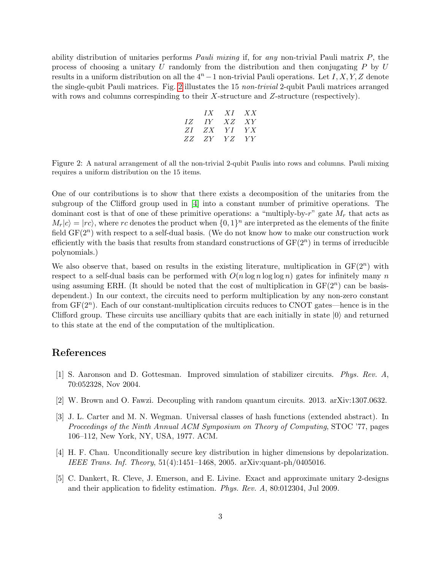ability distribution of unitaries performs *Pauli mixing* if, for any non-trivial Pauli matrix  $P$ , the process of choosing a unitary  $U$  randomly from the distribution and then conjugating  $P$  by  $U$ results in a uniform distribution on all the  $4^n - 1$  non-trivial Pauli operations. Let I, X, Y, Z denote the single-qubit Pauli matrices. Fig. [2](#page-2-5) illustates the 15 non-trivial 2-qubit Pauli matrices arranged with rows and columns correspinding to their  $X$ -structure and  $Z$ -structure (respectively).

|          | $IX$ $XI$ $XX$ |              |
|----------|----------------|--------------|
| IZ IY    |                | $XZ - XY$    |
| ZI ZX YI |                | Y X          |
| ZZ ZY    |                | <i>YZ YY</i> |

<span id="page-2-5"></span>Figure 2: A natural arrangement of all the non-trivial 2-qubit Paulis into rows and columns. Pauli mixing requires a uniform distribution on the 15 items.

One of our contributions is to show that there exists a decomposition of the unitaries from the subgroup of the Clifford group used in [\[4\]](#page-2-4) into a constant number of primitive operations. The dominant cost is that of one of these primitive operations: a "multiply-by-r" gate  $M_r$  that acts as  $M_r|c\rangle = |rc\rangle$ , where rc denotes the product when  $\{0, 1\}^n$  are interpreted as the elements of the finite field  $GF(2^n)$  with respect to a self-dual basis. (We do not know how to make our construction work efficiently with the basis that results from standard constructions of  $GF(2<sup>n</sup>)$  in terms of irreducible polynomials.)

We also observe that, based on results in the existing literature, multiplication in  $GF(2<sup>n</sup>)$  with respect to a self-dual basis can be performed with  $O(n \log n \log \log n)$  gates for infinitely many n using assuming ERH. (It should be noted that the cost of multiplication in  $GF(2<sup>n</sup>)$  can be basisdependent.) In our context, the circuits need to perform multiplication by any non-zero constant from  $GF(2<sup>n</sup>)$ . Each of our constant-multiplication circuits reduces to CNOT gates—hence is in the Clifford group. These circuits use ancilliary qubits that are each initially in state  $|0\rangle$  and returned to this state at the end of the computation of the multiplication.

## References

- <span id="page-2-2"></span>[1] S. Aaronson and D. Gottesman. Improved simulation of stabilizer circuits. Phys. Rev. A, 70:052328, Nov 2004.
- <span id="page-2-3"></span>[2] W. Brown and O. Fawzi. Decoupling with random quantum circuits. 2013. arXiv:1307.0632.
- <span id="page-2-1"></span>[3] J. L. Carter and M. N. Wegman. Universal classes of hash functions (extended abstract). In Proceedings of the Ninth Annual ACM Symposium on Theory of Computing, STOC '77, pages 106–112, New York, NY, USA, 1977. ACM.
- <span id="page-2-4"></span>[4] H. F. Chau. Unconditionally secure key distribution in higher dimensions by depolarization. IEEE Trans. Inf. Theory, 51(4):1451–1468, 2005. arXiv:quant-ph/0405016.
- <span id="page-2-0"></span>[5] C. Dankert, R. Cleve, J. Emerson, and E. Livine. Exact and approximate unitary 2-designs and their application to fidelity estimation. Phys. Rev. A, 80:012304, Jul 2009.